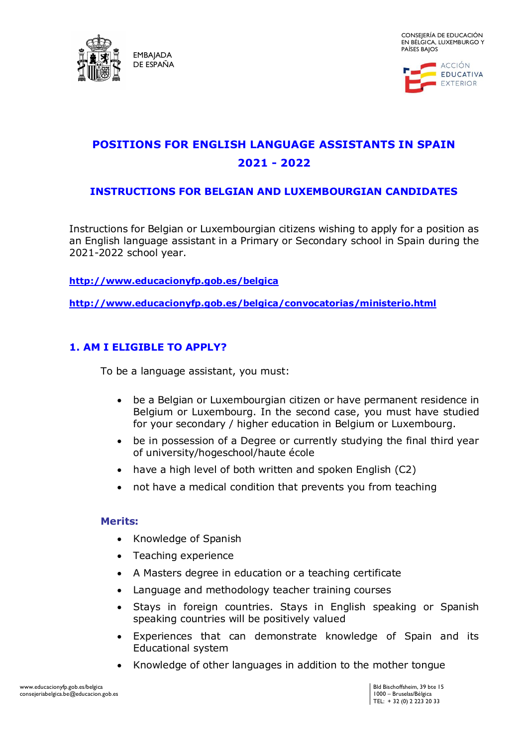



# **POSITIONS FOR ENGLISH LANGUAGE ASSISTANTS IN SPAIN 2021 - 2022**

### **INSTRUCTIONS FOR BELGIAN AND LUXEMBOURGIAN CANDIDATES**

Instructions for Belgian or Luxembourgian citizens wishing to apply for a position as an English language assistant in a Primary or Secondary school in Spain during the 2021-2022 school year.

**<http://www.educacionyfp.gob.es/belgica>**

**<http://www.educacionyfp.gob.es/belgica/convocatorias/ministerio.html>**

# **1. AM I ELIGIBLE TO APPLY?**

To be a language assistant, you must:

- be a Belgian or Luxembourgian citizen or have permanent residence in Belgium or Luxembourg. In the second case, you must have studied for your secondary / higher education in Belgium or Luxembourg.
- be in possession of a Degree or currently studying the final third year of university/hogeschool/haute école
- have a high level of both written and spoken English (C2)
- not have a medical condition that prevents you from teaching

#### **Merits:**

- Knowledge of Spanish
- Teaching experience
- A Masters degree in education or a teaching certificate
- Language and methodology teacher training courses
- Stays in foreign countries. Stays in English speaking or Spanish speaking countries will be positively valued
- Experiences that can demonstrate knowledge of Spain and its Educational system
- Knowledge of other languages in addition to the mother tongue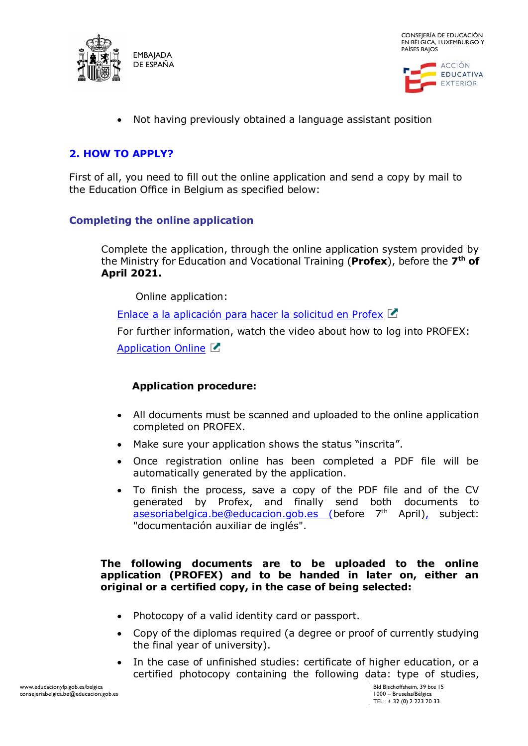



• Not having previously obtained a language assistant position

# **2. HOW TO APPLY?**

First of all, you need to fill out the online application and send a copy by mail to the Education Office in Belgium as specified below:

### **Completing the online application**

Complete the application, through the online application system provided by the Ministry for Education and Vocational Training (**Profex**), before the **7 th of April 2021.**

[Online](https://sede.educacion.gob.es/tramite/login/inicio.jjsp?idConvocatoria=606) application:

[Enlace a la aplicación para hacer la solicitud en Profex](https://sede.educacion.gob.es/profex/jsp/login/login.do?identificadoEnLaAplicacion=no)

For further information, watch the video about how to log into PROFEX:

[Application Online](https://www.youtube.com/watch?v=eI1ghuOXcGw&feature=youtu.be)

### **Application procedure:**

- All documents must be scanned and uploaded to the online application completed on PROFEX.
- Make sure your application shows the status "inscrita".
- Once registration online has been completed a PDF file will be automatically generated by the application.
- To finish the process, save a copy of the PDF file and of the CV generated by Profex, and finally send both documents to asesoriabelgica.be@educacion.gob.es (before 7<sup>th</sup> April), subject: "documentación auxiliar de inglés".

#### **The following documents are to be uploaded to the online application (PROFEX) and to be handed in later on, either an original or a certified copy, in the case of being selected:**

- Photocopy of a valid identity card or passport.
- Copy of the diplomas required (a degree or proof of currently studying the final year of university).
- In the case of unfinished studies: certificate of higher education, or a certified photocopy containing the following data: type of studies,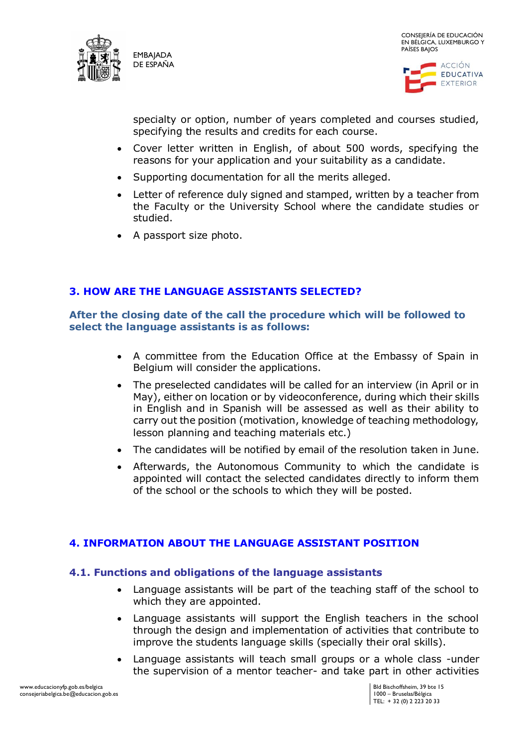



specialty or option, number of years completed and courses studied, specifying the results and credits for each course.

- Cover letter written in English, of about 500 words, specifying the reasons for your application and your suitability as a candidate.
- Supporting documentation for all the merits alleged.
- Letter of reference duly signed and stamped, written by a teacher from the Faculty or the University School where the candidate studies or studied.
- A passport size photo.

# **3. HOW ARE THE LANGUAGE ASSISTANTS SELECTED?**

### **After the closing date of the call the procedure which will be followed to select the language assistants is as follows:**

- A committee from the Education Office at the Embassy of Spain in Belgium will consider the applications.
- The preselected candidates will be called for an interview (in April or in May), either on location or by videoconference, during which their skills in English and in Spanish will be assessed as well as their ability to carry out the position (motivation, knowledge of teaching methodology, lesson planning and teaching materials etc.)
- The candidates will be notified by email of the resolution taken in June.
- Afterwards, the Autonomous Community to which the candidate is appointed will contact the selected candidates directly to inform them of the school or the schools to which they will be posted.

### **4. INFORMATION ABOUT THE LANGUAGE ASSISTANT POSITION**

### **4.1. Functions and obligations of the language assistants**

- Language assistants will be part of the teaching staff of the school to which they are appointed.
- Language assistants will support the English teachers in the school through the design and implementation of activities that contribute to improve the students language skills (specially their oral skills).
- Language assistants will teach small groups or a whole class -under the supervision of a mentor teacher- and take part in other activities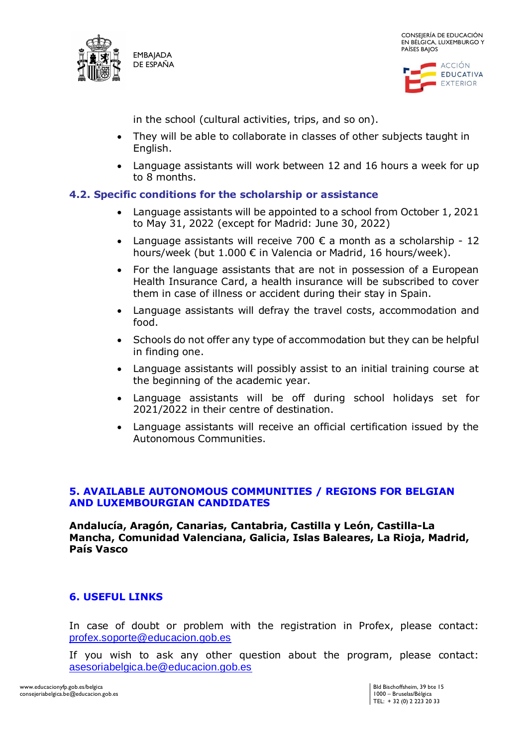



in the school (cultural activities, trips, and so on).

- They will be able to collaborate in classes of other subjects taught in English.
- Language assistants will work between 12 and 16 hours a week for up to 8 months.

### **4.2. Specific conditions for the scholarship or assistance**

- Language assistants will be appointed to a school from October 1, 2021 to May 31, 2022 (except for Madrid: June 30, 2022)
- Language assistants will receive 700  $\epsilon$  a month as a scholarship 12 hours/week (but 1.000 € in Valencia or Madrid, 16 hours/week).
- For the language assistants that are not in possession of a European Health Insurance Card, a health insurance will be subscribed to cover them in case of illness or accident during their stay in Spain.
- Language assistants will defray the travel costs, accommodation and food.
- Schools do not offer any type of accommodation but they can be helpful in finding one.
- Language assistants will possibly assist to an initial training course at the beginning of the academic year.
- Language assistants will be off during school holidays set for 2021/2022 in their centre of destination.
- Language assistants will receive an official certification issued by the Autonomous Communities.

# **5. AVAILABLE AUTONOMOUS COMMUNITIES / REGIONS FOR BELGIAN AND LUXEMBOURGIAN CANDIDATES**

**Andalucía, Aragón, Canarias, Cantabria, Castilla y León, Castilla-La Mancha, Comunidad Valenciana, Galicia, Islas Baleares, La Rioja, Madrid, País Vasco**

# **6. USEFUL LINKS**

In case of doubt or problem with the registration in Profex, please contact: [profex.soporte@educacion.gob.es](mailto:profex.soporte@educacion.gob.es)

If you wish to ask any other question about the program, please contact: [asesoriabelgica.be@educacion.gob.es](mailto:asesoriabelgica.be@educacion.gob.es)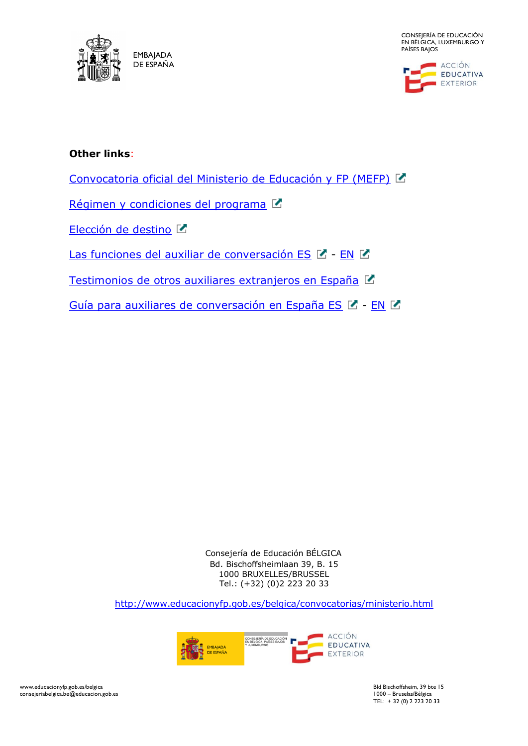

CONSEJERÍA DE EDUCACIÓN EN BÉLGICA, LUXEMBURGO Y PAÍSES BAJOS



### **Other links**:

[Convocatoria oficial del Ministerio de Educación y FP \(MEFP\)](http://www.educacionyfp.gob.es/servicios-al-ciudadano/catalogo/profesorado/convocatorias-para-extranjeros/auxiliares-conversacion-extranjeros-espana.html)

[Régimen y condiciones del programa](http://www.educacionyfp.gob.es/dam/jcr:0f606fc7-b5c9-4aed-921b-1ddafeee3ea7/condiciones-programa.pdf)  $\square$ 

[Elección de destino](http://www.educacionyfp.gob.es/dam/jcr:5214be36-ce09-4c93-ac6e-738920de110e/regiones-elegibles-2021-2022.pdf)

[Las funciones del auxiliar de conversación ES](http://www.educacionyfp.gob.es/dam/jcr:c2180caf-0787-4c9b-b592-da2972c9cb18/funciones-auxiliar-es.pdf)  $\mathbb{Z}$  - [EN](http://www.educacionyfp.gob.es/dam/jcr:3787edaa-96aa-463c-a417-1e23b6dcf341/funciones-auxiliar-en.pdf)  $\mathbb{Z}$ 

[Testimonios de otros auxiliares extranjeros en España](http://www.educacionyfp.gob.es/dam/jcr:695cbe3f-5cf5-4f8f-8a12-d03f870e7f1e/experiencias-extranjeros.pdf) **■** 

[Guía para auxiliares de conversación en España ES](file:///C:/Users/agurg/Downloads/21668%20(2).pdf)  $\mathbb{Z}$  - [EN](file:///C:/Users/agurg/Downloads/21670%20(1).pdf)  $\mathbb{Z}$ 

Consejería de Educación BÉLGICA Bd. Bischoffsheimlaan 39, B. 15 1000 BRUXELLES/BRUSSEL Tel.: (+32) (0)2 223 20 33

<http://www.educacionyfp.gob.es/belgica/convocatorias/ministerio.html>